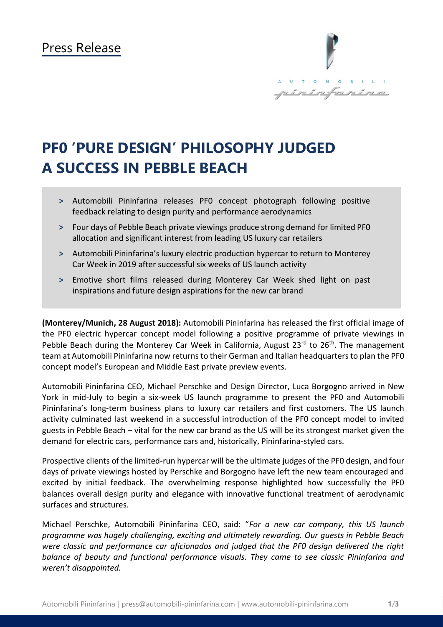

# **PF0 'PURE DESIGN' PHILOSOPHY JUDGED A SUCCESS IN PEBBLE BEACH**

- **˃** Automobili Pininfarina releases PF0 concept photograph following positive feedback relating to design purity and performance aerodynamics
- **˃** Four days of Pebble Beach private viewings produce strong demand for limited PF0 allocation and significant interest from leading US luxury car retailers
- **˃** Automobili Pininfarina's luxury electric production hypercar to return to Monterey Car Week in 2019 after successful six weeks of US launch activity
- **˃** Emotive short films released during Monterey Car Week shed light on past inspirations and future design aspirations for the new car brand

**(Monterey/Munich, 28 August 2018):** Automobili Pininfarina has released the first official image of the PF0 electric hypercar concept model following a positive programme of private viewings in Pebble Beach during the Monterey Car Week in California, August 23<sup>rd</sup> to 26<sup>th</sup>. The management team at Automobili Pininfarina now returnsto their German and Italian headquartersto plan the PF0 concept model's European and Middle East private preview events.

Automobili Pininfarina CEO, Michael Perschke and Design Director, Luca Borgogno arrived in New York in mid-July to begin a six-week US launch programme to present the PF0 and Automobili Pininfarina's long-term business plans to luxury car retailers and first customers. The US launch activity culminated last weekend in a successful introduction of the PF0 concept model to invited guests in Pebble Beach – vital for the new car brand as the US will be its strongest market given the demand for electric cars, performance cars and, historically, Pininfarina-styled cars.

Prospective clients of the limited-run hypercar will be the ultimate judges of the PF0 design, and four days of private viewings hosted by Perschke and Borgogno have left the new team encouraged and excited by initial feedback. The overwhelming response highlighted how successfully the PF0 balances overall design purity and elegance with innovative functional treatment of aerodynamic surfaces and structures.

Michael Perschke, Automobili Pininfarina CEO, said: "*For a new car company, this US launch programme was hugely challenging, exciting and ultimately rewarding. Our guests in Pebble Beach were classic and performance car aficionados and judged that the PF0 design delivered the right balance of beauty and functional performance visuals. They came to see classic Pininfarina and weren't disappointed.*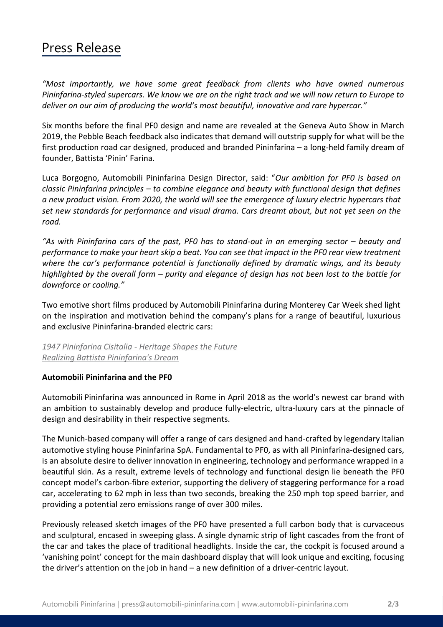## Press Release

*"Most importantly, we have some great feedback from clients who have owned numerous Pininfarina-styled supercars. We know we are on the right track and we will now return to Europe to deliver on our aim of producing the world's most beautiful, innovative and rare hypercar."*

Six months before the final PF0 design and name are revealed at the Geneva Auto Show in March 2019, the Pebble Beach feedback also indicates that demand will outstrip supply for what will be the first production road car designed, produced and branded Pininfarina – a long-held family dream of founder, Battista 'Pinin' Farina.

Luca Borgogno, Automobili Pininfarina Design Director, said: "*Our ambition for PF0 is based on classic Pininfarina principles – to combine elegance and beauty with functional design that defines a new product vision. From 2020, the world will see the emergence of luxury electric hypercars that set new standards for performance and visual drama. Cars dreamt about, but not yet seen on the road.* 

*"As with Pininfarina cars of the past, PF0 has to stand-out in an emerging sector – beauty and performance to make your heart skip a beat. You can see that impact in the PF0 rear view treatment where the car's performance potential is functionally defined by dramatic wings, and its beauty highlighted by the overall form – purity and elegance of design has not been lost to the battle for downforce or cooling."*

Two emotive short films produced by Automobili Pininfarina during Monterey Car Week shed light on the inspiration and motivation behind the company's plans for a range of beautiful, luxurious and exclusive Pininfarina-branded electric cars:

#### *1947 Pininfarina Cisitalia - [Heritage Shapes the Future](https://youtu.be/tZiH6cqYOxA) [Realizing Battista Pininfarina's Dream](https://youtu.be/c82nE3GsZUE)*

#### **Automobili Pininfarina and the PF0**

Automobili Pininfarina was announced in Rome in April 2018 as the world's newest car brand with an ambition to sustainably develop and produce fully-electric, ultra-luxury cars at the pinnacle of design and desirability in their respective segments.

The Munich-based company will offer a range of cars designed and hand-crafted by legendary Italian automotive styling house Pininfarina SpA. Fundamental to PF0, as with all Pininfarina-designed cars, is an absolute desire to deliver innovation in engineering, technology and performance wrapped in a beautiful skin. As a result, extreme levels of technology and functional design lie beneath the PF0 concept model's carbon-fibre exterior, supporting the delivery of staggering performance for a road car, accelerating to 62 mph in less than two seconds, breaking the 250 mph top speed barrier, and providing a potential zero emissions range of over 300 miles.

Previously released sketch images of the PF0 have presented a full carbon body that is curvaceous and sculptural, encased in sweeping glass. A single dynamic strip of light cascades from the front of the car and takes the place of traditional headlights. Inside the car, the cockpit is focused around a 'vanishing point' concept for the main dashboard display that will look unique and exciting, focusing the driver's attention on the job in hand – a new definition of a driver-centric layout.